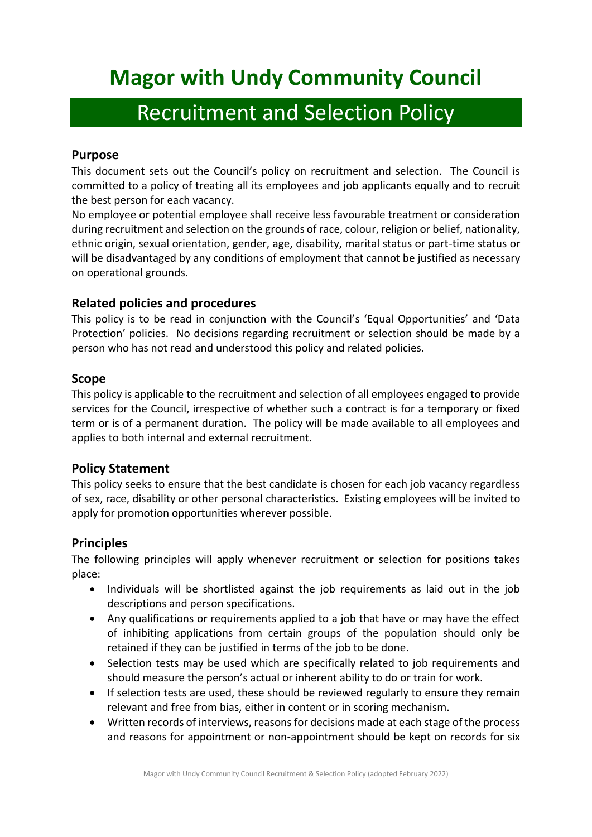# **Magor with Undy Community Council**

## Recruitment and Selection Policy

## **Purpose**

This document sets out the Council's policy on recruitment and selection. The Council is committed to a policy of treating all its employees and job applicants equally and to recruit the best person for each vacancy.

No employee or potential employee shall receive less favourable treatment or consideration during recruitment and selection on the grounds of race, colour, religion or belief, nationality, ethnic origin, sexual orientation, gender, age, disability, marital status or part-time status or will be disadvantaged by any conditions of employment that cannot be justified as necessary on operational grounds.

## **Related policies and procedures**

This policy is to be read in conjunction with the Council's 'Equal Opportunities' and 'Data Protection' policies. No decisions regarding recruitment or selection should be made by a person who has not read and understood this policy and related policies.

## **Scope**

This policy is applicable to the recruitment and selection of all employees engaged to provide services for the Council, irrespective of whether such a contract is for a temporary or fixed term or is of a permanent duration. The policy will be made available to all employees and applies to both internal and external recruitment.

## **Policy Statement**

This policy seeks to ensure that the best candidate is chosen for each job vacancy regardless of sex, race, disability or other personal characteristics. Existing employees will be invited to apply for promotion opportunities wherever possible.

## **Principles**

The following principles will apply whenever recruitment or selection for positions takes place:

- Individuals will be shortlisted against the job requirements as laid out in the job descriptions and person specifications.
- Any qualifications or requirements applied to a job that have or may have the effect of inhibiting applications from certain groups of the population should only be retained if they can be justified in terms of the job to be done.
- Selection tests may be used which are specifically related to job requirements and should measure the person's actual or inherent ability to do or train for work.
- If selection tests are used, these should be reviewed regularly to ensure they remain relevant and free from bias, either in content or in scoring mechanism.
- Written records of interviews, reasons for decisions made at each stage of the process and reasons for appointment or non-appointment should be kept on records for six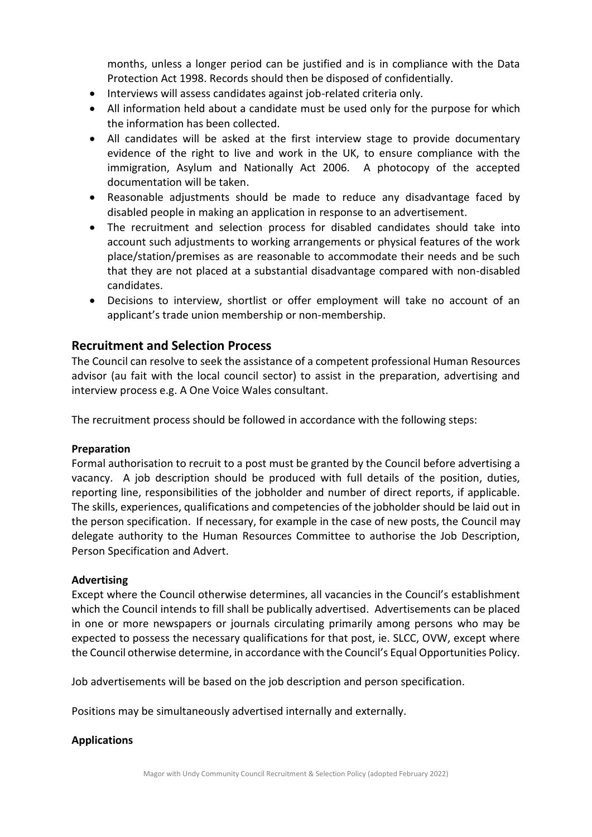months, unless a longer period can be justified and is in compliance with the Data Protection Act 1998. Records should then be disposed of confidentially.

- Interviews will assess candidates against job-related criteria only.
- All information held about a candidate must be used only for the purpose for which the information has been collected.
- All candidates will be asked at the first interview stage to provide documentary evidence of the right to live and work in the UK, to ensure compliance with the immigration, Asylum and Nationally Act 2006. A photocopy of the accepted documentation will be taken.
- Reasonable adjustments should be made to reduce any disadvantage faced by disabled people in making an application in response to an advertisement.
- The recruitment and selection process for disabled candidates should take into account such adjustments to working arrangements or physical features of the work place/station/premises as are reasonable to accommodate their needs and be such that they are not placed at a substantial disadvantage compared with non-disabled candidates.
- Decisions to interview, shortlist or offer employment will take no account of an applicant's trade union membership or non-membership.

## **Recruitment and Selection Process**

The Council can resolve to seek the assistance of a competent professional Human Resources advisor (au fait with the local council sector) to assist in the preparation, advertising and interview process e.g. A One Voice Wales consultant.

The recruitment process should be followed in accordance with the following steps:

#### **Preparation**

Formal authorisation to recruit to a post must be granted by the Council before advertising a vacancy. A job description should be produced with full details of the position, duties, reporting line, responsibilities of the jobholder and number of direct reports, if applicable. The skills, experiences, qualifications and competencies of the jobholder should be laid out in the person specification. If necessary, for example in the case of new posts, the Council may delegate authority to the Human Resources Committee to authorise the Job Description, Person Specification and Advert.

#### **Advertising**

Except where the Council otherwise determines, all vacancies in the Council's establishment which the Council intends to fill shall be publically advertised. Advertisements can be placed in one or more newspapers or journals circulating primarily among persons who may be expected to possess the necessary qualifications for that post, ie. SLCC, OVW, except where the Council otherwise determine, in accordance with the Council's Equal Opportunities Policy.

Job advertisements will be based on the job description and person specification.

Positions may be simultaneously advertised internally and externally.

#### **Applications**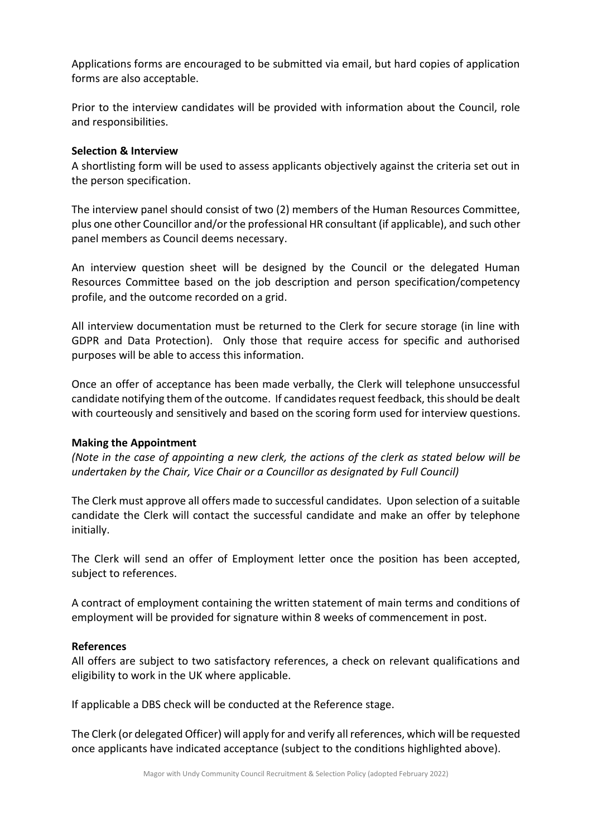Applications forms are encouraged to be submitted via email, but hard copies of application forms are also acceptable.

Prior to the interview candidates will be provided with information about the Council, role and responsibilities.

#### **Selection & Interview**

A shortlisting form will be used to assess applicants objectively against the criteria set out in the person specification.

The interview panel should consist of two (2) members of the Human Resources Committee, plus one other Councillor and/or the professional HR consultant (if applicable), and such other panel members as Council deems necessary.

An interview question sheet will be designed by the Council or the delegated Human Resources Committee based on the job description and person specification/competency profile, and the outcome recorded on a grid.

All interview documentation must be returned to the Clerk for secure storage (in line with GDPR and Data Protection). Only those that require access for specific and authorised purposes will be able to access this information.

Once an offer of acceptance has been made verbally, the Clerk will telephone unsuccessful candidate notifying them of the outcome. If candidates request feedback, this should be dealt with courteously and sensitively and based on the scoring form used for interview questions.

#### **Making the Appointment**

*(Note in the case of appointing a new clerk, the actions of the clerk as stated below will be undertaken by the Chair, Vice Chair or a Councillor as designated by Full Council)*

The Clerk must approve all offers made to successful candidates. Upon selection of a suitable candidate the Clerk will contact the successful candidate and make an offer by telephone initially.

The Clerk will send an offer of Employment letter once the position has been accepted, subject to references.

A contract of employment containing the written statement of main terms and conditions of employment will be provided for signature within 8 weeks of commencement in post.

#### **References**

All offers are subject to two satisfactory references, a check on relevant qualifications and eligibility to work in the UK where applicable.

If applicable a DBS check will be conducted at the Reference stage.

The Clerk (or delegated Officer) will apply for and verify all references, which will be requested once applicants have indicated acceptance (subject to the conditions highlighted above).